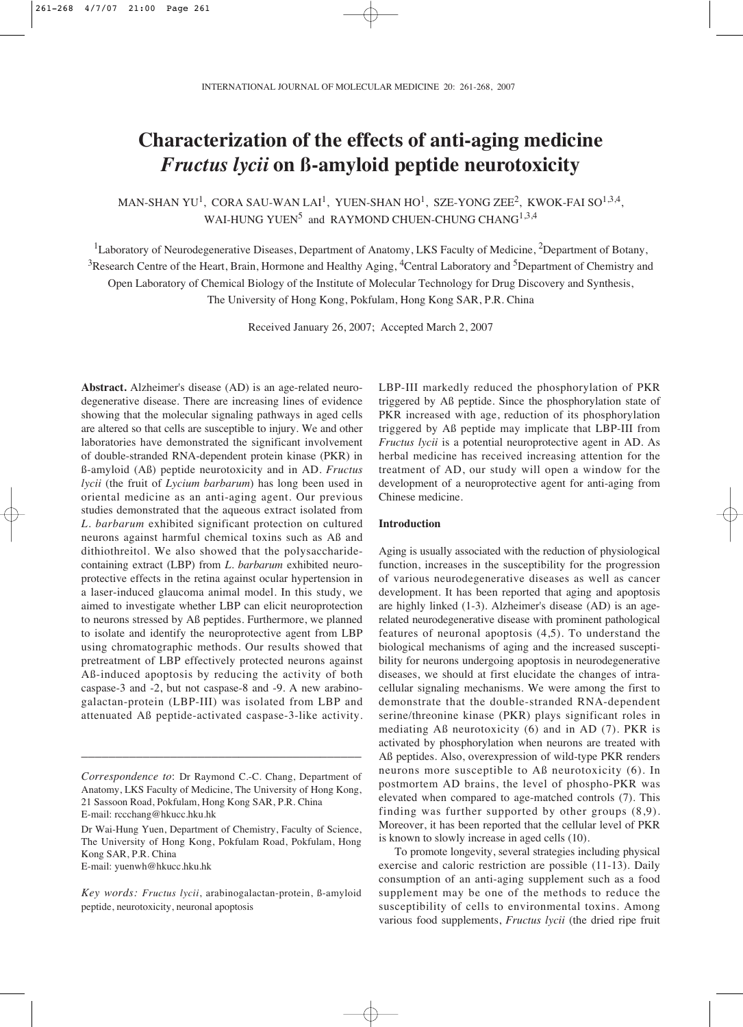# **Characterization of the effects of anti-aging medicine**  *Fructus lycii* **on ß-amyloid peptide neurotoxicity**

MAN-SHAN YU<sup>1</sup>, CORA SAU-WAN LAI<sup>1</sup>, YUEN-SHAN HO<sup>1</sup>, SZE-YONG ZEE<sup>2</sup>, KWOK-FAI SO<sup>1,3,4</sup>, WAI-HUNG YUEN<sup>5</sup> and RAYMOND CHUEN-CHUNG CHANG<sup>1,3,4</sup>

<sup>1</sup>Laboratory of Neurodegenerative Diseases, Department of Anatomy, LKS Faculty of Medicine, <sup>2</sup>Department of Botany, <sup>3</sup>Research Centre of the Heart, Brain, Hormone and Healthy Aging, <sup>4</sup>Central Laboratory and <sup>5</sup>Department of Chemistry and Open Laboratory of Chemical Biology of the Institute of Molecular Technology for Drug Discovery and Synthesis,

The University of Hong Kong, Pokfulam, Hong Kong SAR, P.R. China

Received January 26, 2007; Accepted March 2, 2007

**Abstract.** Alzheimer's disease (AD) is an age-related neurodegenerative disease. There are increasing lines of evidence showing that the molecular signaling pathways in aged cells are altered so that cells are susceptible to injury. We and other laboratories have demonstrated the significant involvement of double-stranded RNA-dependent protein kinase (PKR) in ß-amyloid (Aß) peptide neurotoxicity and in AD. *Fructus lycii* (the fruit of *Lycium barbarum*) has long been used in oriental medicine as an anti-aging agent. Our previous studies demonstrated that the aqueous extract isolated from *L. barbarum* exhibited significant protection on cultured neurons against harmful chemical toxins such as Aß and dithiothreitol. We also showed that the polysaccharidecontaining extract (LBP) from *L. barbarum* exhibited neuroprotective effects in the retina against ocular hypertension in a laser-induced glaucoma animal model. In this study, we aimed to investigate whether LBP can elicit neuroprotection to neurons stressed by Aß peptides. Furthermore, we planned to isolate and identify the neuroprotective agent from LBP using chromatographic methods. Our results showed that pretreatment of LBP effectively protected neurons against Aß-induced apoptosis by reducing the activity of both caspase-3 and -2, but not caspase-8 and -9. A new arabinogalactan-protein (LBP-III) was isolated from LBP and attenuated Aß peptide-activated caspase-3-like activity.

\_\_\_\_\_\_\_\_\_\_\_\_\_\_\_\_\_\_\_\_\_\_\_\_\_\_\_\_\_\_\_\_\_\_\_\_\_\_\_\_\_

E-mail: yuenwh@hkucc.hku.hk

LBP-III markedly reduced the phosphorylation of PKR triggered by Aß peptide. Since the phosphorylation state of PKR increased with age, reduction of its phosphorylation triggered by Aß peptide may implicate that LBP-III from *Fructus lycii* is a potential neuroprotective agent in AD. As herbal medicine has received increasing attention for the treatment of AD, our study will open a window for the development of a neuroprotective agent for anti-aging from Chinese medicine.

#### **Introduction**

Aging is usually associated with the reduction of physiological function, increases in the susceptibility for the progression of various neurodegenerative diseases as well as cancer development. It has been reported that aging and apoptosis are highly linked (1-3). Alzheimer's disease (AD) is an agerelated neurodegenerative disease with prominent pathological features of neuronal apoptosis (4,5). To understand the biological mechanisms of aging and the increased susceptibility for neurons undergoing apoptosis in neurodegenerative diseases, we should at first elucidate the changes of intracellular signaling mechanisms. We were among the first to demonstrate that the double-stranded RNA-dependent serine/threonine kinase (PKR) plays significant roles in mediating Aß neurotoxicity (6) and in AD (7). PKR is activated by phosphorylation when neurons are treated with Aß peptides. Also, overexpression of wild-type PKR renders neurons more susceptible to Aß neurotoxicity (6). In postmortem AD brains, the level of phospho-PKR was elevated when compared to age-matched controls (7). This finding was further supported by other groups (8,9). Moreover, it has been reported that the cellular level of PKR is known to slowly increase in aged cells (10).

To promote longevity, several strategies including physical exercise and caloric restriction are possible (11-13). Daily consumption of an anti-aging supplement such as a food supplement may be one of the methods to reduce the susceptibility of cells to environmental toxins. Among various food supplements, *Fructus lycii* (the dried ripe fruit

*Correspondence to*: Dr Raymond C.-C. Chang, Department of Anatomy, LKS Faculty of Medicine, The University of Hong Kong, 21 Sassoon Road, Pokfulam, Hong Kong SAR, P.R. China E-mail: rccchang@hkucc.hku.hk

Dr Wai-Hung Yuen, Department of Chemistry, Faculty of Science, The University of Hong Kong, Pokfulam Road, Pokfulam, Hong Kong SAR, P.R. China

*Key words: Fructus lycii*, arabinogalactan-protein, ß-amyloid peptide, neurotoxicity, neuronal apoptosis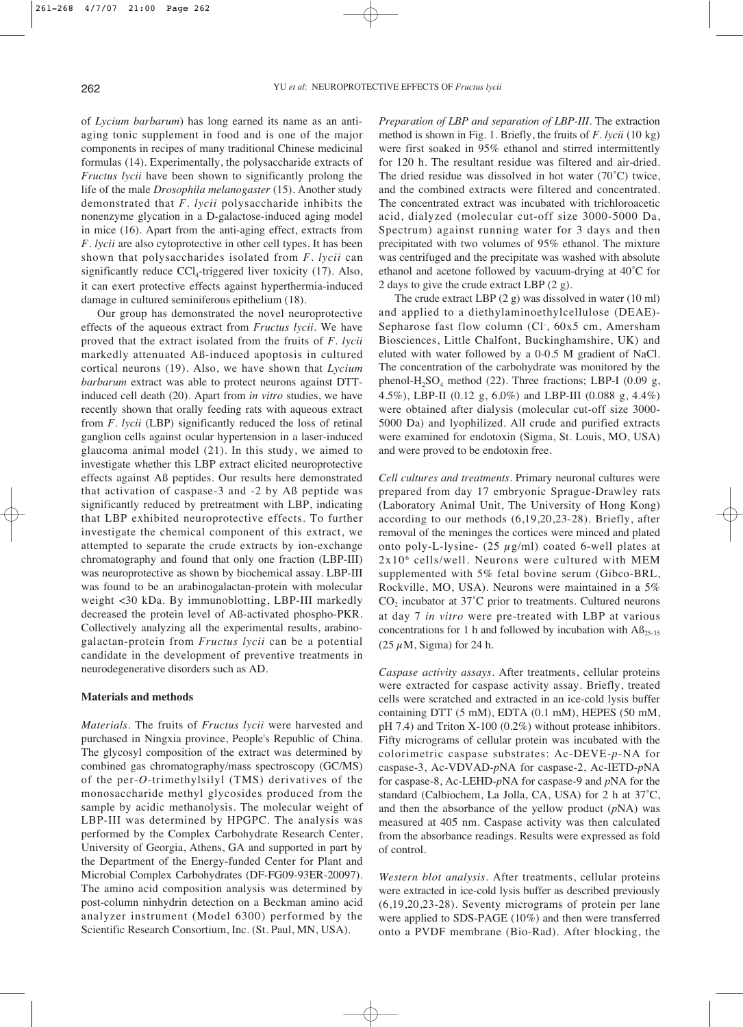of *Lycium barbarum*) has long earned its name as an antiaging tonic supplement in food and is one of the major components in recipes of many traditional Chinese medicinal formulas (14). Experimentally, the polysaccharide extracts of *Fructus lycii* have been shown to significantly prolong the life of the male *Drosophila melanogaster* (15). Another study demonstrated that *F. lycii* polysaccharide inhibits the nonenzyme glycation in a D-galactose-induced aging model in mice (16). Apart from the anti-aging effect, extracts from *F. lycii* are also cytoprotective in other cell types. It has been shown that polysaccharides isolated from *F. lycii* can significantly reduce  $CCl_4$ -triggered liver toxicity (17). Also, it can exert protective effects against hyperthermia-induced damage in cultured seminiferous epithelium (18).

Our group has demonstrated the novel neuroprotective effects of the aqueous extract from *Fructus lycii*. We have proved that the extract isolated from the fruits of *F. lycii* markedly attenuated Aß-induced apoptosis in cultured cortical neurons (19). Also, we have shown that *Lycium barbarum* extract was able to protect neurons against DTTinduced cell death (20). Apart from *in vitro* studies, we have recently shown that orally feeding rats with aqueous extract from *F. lycii* (LBP) significantly reduced the loss of retinal ganglion cells against ocular hypertension in a laser-induced glaucoma animal model (21). In this study, we aimed to investigate whether this LBP extract elicited neuroprotective effects against Aß peptides. Our results here demonstrated that activation of caspase-3 and -2 by Aß peptide was significantly reduced by pretreatment with LBP, indicating that LBP exhibited neuroprotective effects. To further investigate the chemical component of this extract, we attempted to separate the crude extracts by ion-exchange chromatography and found that only one fraction (LBP-III) was neuroprotective as shown by biochemical assay. LBP-III was found to be an arabinogalactan-protein with molecular weight <30 kDa. By immunoblotting, LBP-III markedly decreased the protein level of Aß-activated phospho-PKR. Collectively analyzing all the experimental results, arabinogalactan-protein from *Fructus lycii* can be a potential candidate in the development of preventive treatments in neurodegenerative disorders such as AD.

## **Materials and methods**

*Materials*. The fruits of *Fructus lycii* were harvested and purchased in Ningxia province, People's Republic of China. The glycosyl composition of the extract was determined by combined gas chromatography/mass spectroscopy (GC/MS) of the per-*O*-trimethylsilyl (TMS) derivatives of the monosaccharide methyl glycosides produced from the sample by acidic methanolysis. The molecular weight of LBP-III was determined by HPGPC. The analysis was performed by the Complex Carbohydrate Research Center, University of Georgia, Athens, GA and supported in part by the Department of the Energy-funded Center for Plant and Microbial Complex Carbohydrates (DF-FG09-93ER-20097). The amino acid composition analysis was determined by post-column ninhydrin detection on a Beckman amino acid analyzer instrument (Model 6300) performed by the Scientific Research Consortium, Inc. (St. Paul, MN, USA).

*Preparation of LBP and separation of LBP-III*. The extraction method is shown in Fig. 1. Briefly, the fruits of *F. lycii* (10 kg) were first soaked in 95% ethanol and stirred intermittently for 120 h. The resultant residue was filtered and air-dried. The dried residue was dissolved in hot water (70˚C) twice, and the combined extracts were filtered and concentrated. The concentrated extract was incubated with trichloroacetic acid, dialyzed (molecular cut-off size 3000-5000 Da, Spectrum) against running water for 3 days and then precipitated with two volumes of 95% ethanol. The mixture was centrifuged and the precipitate was washed with absolute ethanol and acetone followed by vacuum-drying at 40˚C for 2 days to give the crude extract LBP (2 g).

The crude extract LBP (2 g) was dissolved in water (10 ml) and applied to a diethylaminoethylcellulose (DEAE)- Sepharose fast flow column (Cl., 60x5 cm, Amersham Biosciences, Little Chalfont, Buckinghamshire, UK) and eluted with water followed by a 0-0.5 M gradient of NaCl. The concentration of the carbohydrate was monitored by the phenol-H<sub>2</sub>SO<sub>4</sub> method (22). Three fractions; LBP-I (0.09 g, 4.5%), LBP-II (0.12 g, 6.0%) and LBP-III (0.088 g, 4.4%) were obtained after dialysis (molecular cut-off size 3000- 5000 Da) and lyophilized. All crude and purified extracts were examined for endotoxin (Sigma, St. Louis, MO, USA) and were proved to be endotoxin free.

*Cell cultures and treatments*. Primary neuronal cultures were prepared from day 17 embryonic Sprague-Drawley rats (Laboratory Animal Unit, The University of Hong Kong) according to our methods (6,19,20,23-28). Briefly, after removal of the meninges the cortices were minced and plated onto poly-L-lysine-  $(25 \mu g/ml)$  coated 6-well plates at  $2x10<sup>6</sup>$  cells/well. Neurons were cultured with MEM supplemented with 5% fetal bovine serum (Gibco-BRL, Rockville, MO, USA). Neurons were maintained in a 5%  $CO<sub>2</sub>$  incubator at 37 $^{\circ}$ C prior to treatments. Cultured neurons at day 7 *in vitro* were pre-treated with LBP at various concentrations for 1 h and followed by incubation with  $AB_{25-35}$  $(25 \mu M,$  Sigma) for 24 h.

*Caspase activity assays*. After treatments, cellular proteins were extracted for caspase activity assay. Briefly, treated cells were scratched and extracted in an ice-cold lysis buffer containing DTT (5 mM), EDTA (0.1 mM), HEPES (50 mM, pH 7.4) and Triton X-100 (0.2%) without protease inhibitors. Fifty micrograms of cellular protein was incubated with the colorimetric caspase substrates: Ac-DEVE-*p*-NA for caspase-3, Ac-VDVAD-*p*NA for caspase-2, Ac-IETD-*p*NA for caspase-8, Ac-LEHD-*p*NA for caspase-9 and *p*NA for the standard (Calbiochem, La Jolla, CA, USA) for 2 h at 37˚C, and then the absorbance of the yellow product (*p*NA) was measured at 405 nm. Caspase activity was then calculated from the absorbance readings. Results were expressed as fold of control.

*Western blot analysis*. After treatments, cellular proteins were extracted in ice-cold lysis buffer as described previously (6,19,20,23-28). Seventy micrograms of protein per lane were applied to SDS-PAGE (10%) and then were transferred onto a PVDF membrane (Bio-Rad). After blocking, the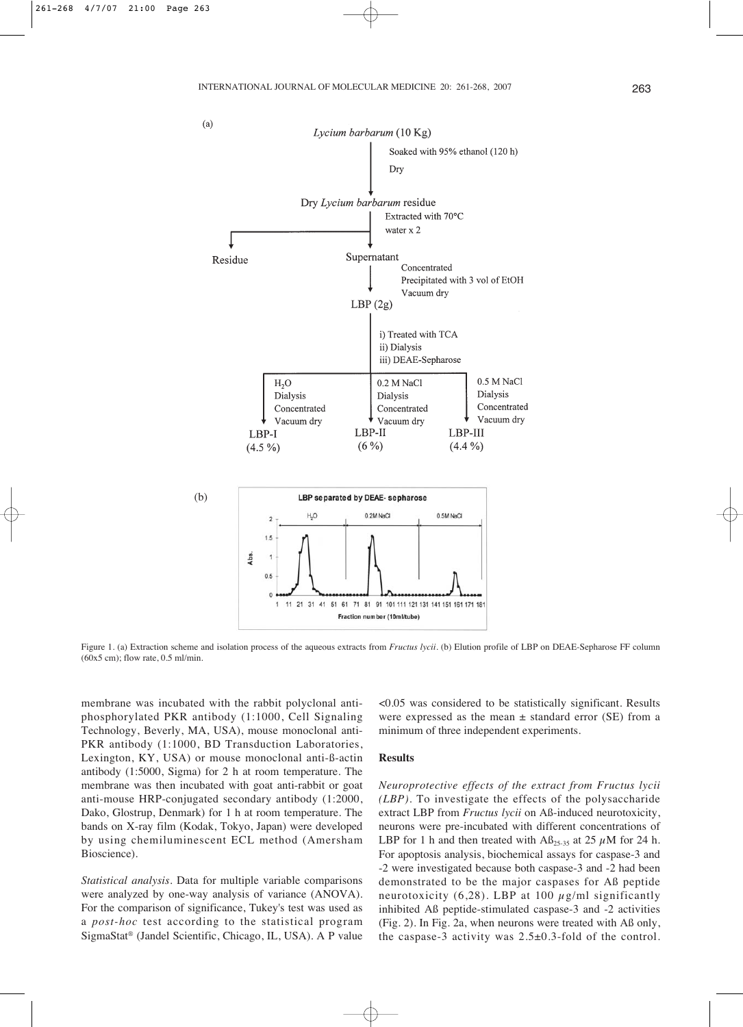

Figure 1. (a) Extraction scheme and isolation process of the aqueous extracts from *Fructus lycii*. (b) Elution profile of LBP on DEAE-Sepharose FF column (60x5 cm); flow rate, 0.5 ml/min.

membrane was incubated with the rabbit polyclonal antiphosphorylated PKR antibody (1:1000, Cell Signaling Technology, Beverly, MA, USA), mouse monoclonal anti-PKR antibody (1:1000, BD Transduction Laboratories, Lexington, KY, USA) or mouse monoclonal anti-ß-actin antibody (1:5000, Sigma) for 2 h at room temperature. The membrane was then incubated with goat anti-rabbit or goat anti-mouse HRP-conjugated secondary antibody (1:2000, Dako, Glostrup, Denmark) for 1 h at room temperature. The bands on X-ray film (Kodak, Tokyo, Japan) were developed by using chemiluminescent ECL method (Amersham Bioscience).

*Statistical analysis*. Data for multiple variable comparisons were analyzed by one-way analysis of variance (ANOVA). For the comparison of significance, Tukey's test was used as a *post-hoc* test according to the statistical program SigmaStat® (Jandel Scientific, Chicago, IL, USA). A P value <0.05 was considered to be statistically significant. Results were expressed as the mean  $\pm$  standard error (SE) from a minimum of three independent experiments.

### **Results**

*Neuroprotective effects of the extract from Fructus lycii (LBP)*. To investigate the effects of the polysaccharide extract LBP from *Fructus lycii* on Aß-induced neurotoxicity, neurons were pre-incubated with different concentrations of LBP for 1 h and then treated with  $AB_{25-35}$  at 25  $\mu$ M for 24 h. For apoptosis analysis, biochemical assays for caspase-3 and -2 were investigated because both caspase-3 and -2 had been demonstrated to be the major caspases for Aß peptide neurotoxicity (6,28). LBP at 100  $\mu$ g/ml significantly inhibited Aß peptide-stimulated caspase-3 and -2 activities (Fig. 2). In Fig. 2a, when neurons were treated with Aß only, the caspase-3 activity was 2.5±0.3-fold of the control.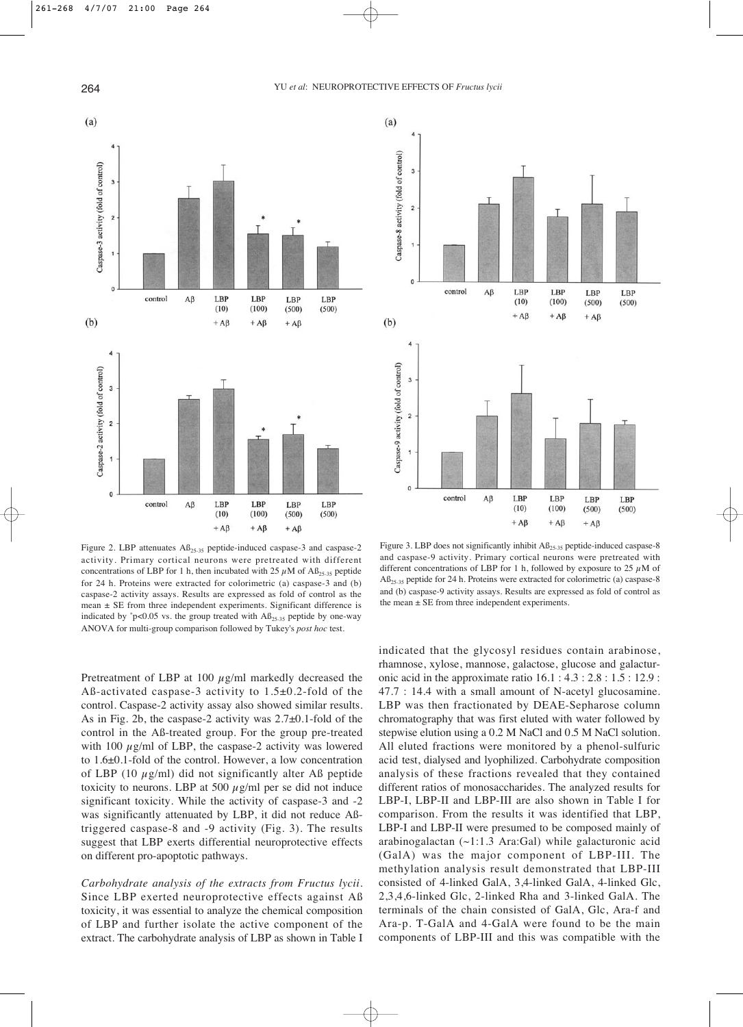



Figure 2. LBP attenuates  $AB_{25-35}$  peptide-induced caspase-3 and caspase-2 activity. Primary cortical neurons were pretreated with different concentrations of LBP for 1 h, then incubated with 25  $\mu$ M of AB<sub>25-35</sub> peptide for 24 h. Proteins were extracted for colorimetric (a) caspase-3 and (b) caspase-2 activity assays. Results are expressed as fold of control as the mean ± SE from three independent experiments. Significant difference is indicated by  $p<0.05$  vs. the group treated with  $AB_{25-35}$  peptide by one-way ANOVA for multi-group comparison followed by Tukey's *post hoc* test.

Pretreatment of LBP at 100  $\mu$ g/ml markedly decreased the Aß-activated caspase-3 activity to 1.5±0.2-fold of the control. Caspase-2 activity assay also showed similar results. As in Fig. 2b, the caspase-2 activity was 2.7±0.1-fold of the control in the Aß-treated group. For the group pre-treated with 100  $\mu$ g/ml of LBP, the caspase-2 activity was lowered to 1.6±0.1-fold of the control. However, a low concentration of LBP (10  $\mu$ g/ml) did not significantly alter Aß peptide toxicity to neurons. LBP at 500  $\mu$ g/ml per se did not induce significant toxicity. While the activity of caspase-3 and -2 was significantly attenuated by LBP, it did not reduce Aßtriggered caspase-8 and -9 activity (Fig. 3). The results suggest that LBP exerts differential neuroprotective effects on different pro-apoptotic pathways.

*Carbohydrate analysis of the extracts from Fructus lycii*. Since LBP exerted neuroprotective effects against Aß toxicity, it was essential to analyze the chemical composition of LBP and further isolate the active component of the extract. The carbohydrate analysis of LBP as shown in Table I

Figure 3. LBP does not significantly inhibit  $AB_{25-35}$  peptide-induced caspase-8 and caspase-9 activity. Primary cortical neurons were pretreated with different concentrations of LBP for 1 h, followed by exposure to 25  $\mu$ M of Aß25-35 peptide for 24 h. Proteins were extracted for colorimetric (a) caspase-8 and (b) caspase-9 activity assays. Results are expressed as fold of control as the mean  $\pm$  SE from three independent experiments.

indicated that the glycosyl residues contain arabinose, rhamnose, xylose, mannose, galactose, glucose and galacturonic acid in the approximate ratio 16.1 : 4.3 : 2.8 : 1.5 : 12.9 : 47.7 : 14.4 with a small amount of N-acetyl glucosamine. LBP was then fractionated by DEAE-Sepharose column chromatography that was first eluted with water followed by stepwise elution using a 0.2 M NaCl and 0.5 M NaCl solution. All eluted fractions were monitored by a phenol-sulfuric acid test, dialysed and lyophilized. Carbohydrate composition analysis of these fractions revealed that they contained different ratios of monosaccharides. The analyzed results for LBP-I, LBP-II and LBP-III are also shown in Table I for comparison. From the results it was identified that LBP, LBP-I and LBP-II were presumed to be composed mainly of arabinogalactan (~1:1.3 Ara:Gal) while galacturonic acid (GalA) was the major component of LBP-III. The methylation analysis result demonstrated that LBP-III consisted of 4-linked GalA, 3,4-linked GalA, 4-linked Glc, 2,3,4,6-linked Glc, 2-linked Rha and 3-linked GalA. The terminals of the chain consisted of GalA, Glc, Ara-f and Ara-p. T-GalA and 4-GalA were found to be the main components of LBP-III and this was compatible with the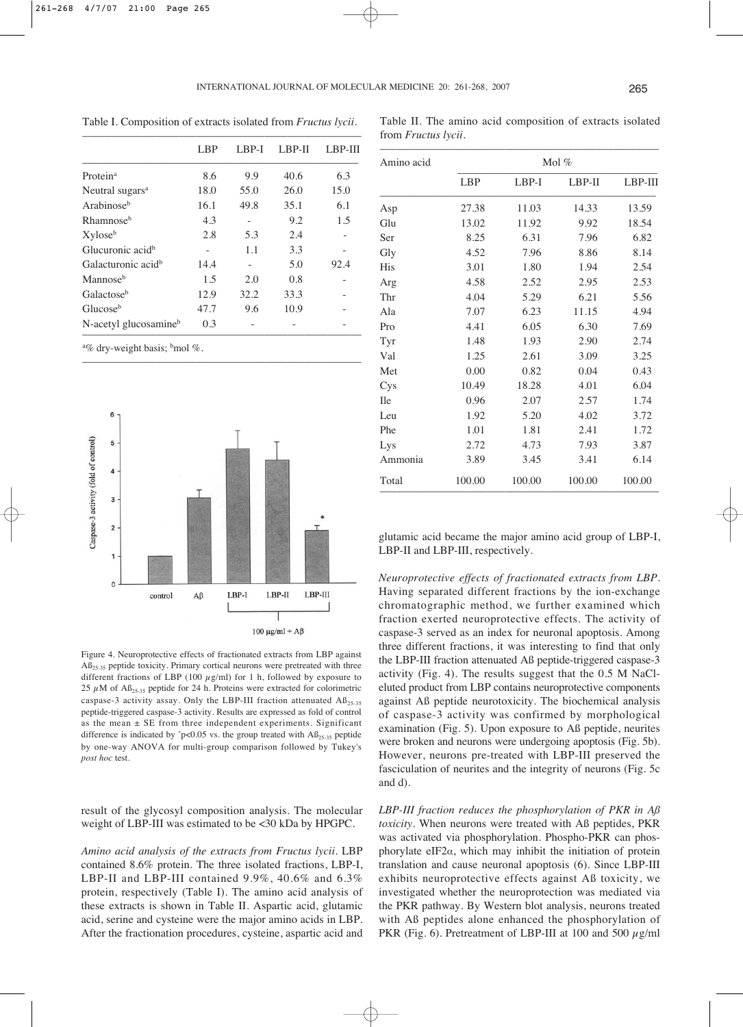Table I. Composition of extracts isolated from *Fructus lycii*.

Table II. The amino acid composition of extracts isolated from *Fructus lycii*.

|                                   | LBP  | LBP-I | LBP-II | LBP-III |
|-----------------------------------|------|-------|--------|---------|
| Protein <sup>a</sup>              | 8.6  | 9.9   | 40.6   | 6.3     |
| Neutral sugars <sup>a</sup>       | 18.0 | 55.0  | 26.0   | 15.0    |
| Arabinose <sup>b</sup>            | 16.1 | 49.8  | 35.1   | 6.1     |
| Rhamnose <sup>b</sup>             | 4.3  |       | 9.2    | 1.5     |
| <b>Xylose</b> <sup>b</sup>        | 2.8  | 5.3   | 2.4    |         |
| Glucuronic acid <sup>b</sup>      |      | 1.1   | 3.3    |         |
| Galacturonic acid <sup>b</sup>    | 14.4 |       | 5.0    | 92.4    |
| Mannose <sup>b</sup>              | 1.5  | 2.0   | 0.8    |         |
| Galactose <sup>b</sup>            | 12.9 | 32.2  | 33.3   |         |
| Glucose <sup>b</sup>              | 47.7 | 9.6   | 10.9   |         |
| N-acetyl glucosamine <sup>b</sup> | 0.3  |       |        |         |

–––––––––––––––––––––––––––––––––––––––––––––––––

<sup>a</sup>% dry-weight basis; <sup>b</sup>mol %.



Figure 4. Neuroprotective effects of fractionated extracts from LBP against  $AB_{25,35}$  peptide toxicity. Primary cortical neurons were pretreated with three different fractions of LBP (100  $\mu$ g/ml) for 1 h, followed by exposure to 25  $\mu$ M of A $\beta_{25-35}$  peptide for 24 h. Proteins were extracted for colorimetric caspase-3 activity assay. Only the LBP-III fraction attenuated  $AB_{25-35}$ peptide-triggered caspase-3 activity. Results are expressed as fold of control as the mean ± SE from three independent experiments. Significant difference is indicated by  $p<0.05$  vs. the group treated with  $AB_{25-35}$  peptide by one-way ANOVA for multi-group comparison followed by Tukey's *post hoc* test.

result of the glycosyl composition analysis. The molecular weight of LBP-III was estimated to be <30 kDa by HPGPC.

*Amino acid analysis of the extracts from Fructus lycii*. LBP contained 8.6% protein. The three isolated fractions, LBP-I, LBP-II and LBP-III contained 9.9%, 40.6% and 6.3% protein, respectively (Table I). The amino acid analysis of these extracts is shown in Table II. Aspartic acid, glutamic acid, serine and cysteine were the major amino acids in LBP. After the fractionation procedures, cysteine, aspartic acid and

| Amino acid | Mol $%$    |         |          |         |  |  |
|------------|------------|---------|----------|---------|--|--|
|            | <b>LBP</b> | $LBP-I$ | $LBP-II$ | LBP-III |  |  |
| Asp        | 27.38      | 11.03   | 14.33    | 13.59   |  |  |
| Glu        | 13.02      | 11.92   | 9.92     | 18.54   |  |  |
| Ser        | 8.25       | 6.31    | 7.96     | 6.82    |  |  |
| Gly        | 4.52       | 7.96    | 8.86     | 8.14    |  |  |
| His        | 3.01       | 1.80    | 1.94     | 2.54    |  |  |
| Arg        | 4.58       | 2.52    | 2.95     | 2.53    |  |  |
| Thr        | 4.04       | 5.29    | 6.21     | 5.56    |  |  |
| Ala        | 7.07       | 6.23    | 11.15    | 4.94    |  |  |
| Pro        | 4.41       | 6.05    | 6.30     | 7.69    |  |  |
| Tyr        | 1.48       | 1.93    | 2.90     | 2.74    |  |  |
| Val        | 1.25       | 2.61    | 3.09     | 3.25    |  |  |
| Met        | 0.00       | 0.82    | 0.04     | 0.43    |  |  |
| Cys        | 10.49      | 18.28   | 4.01     | 6.04    |  |  |
| <b>Ile</b> | 0.96       | 2.07    | 2.57     | 1.74    |  |  |
| Leu        | 1.92       | 5.20    | 4.02     | 3.72    |  |  |
| Phe        | 1.01       | 1.81    | 2.41     | 1.72    |  |  |
| Lys        | 2.72       | 4.73    | 7.93     | 3.87    |  |  |
| Ammonia    | 3.89       | 3.45    | 3.41     | 6.14    |  |  |
| Total      | 100.00     | 100.00  | 100.00   | 100.00  |  |  |

glutamic acid became the major amino acid group of LBP-I, LBP-II and LBP-III, respectively.

*Neuroprotective effects of fractionated extracts from LBP*. Having separated different fractions by the ion-exchange chromatographic method, we further examined which fraction exerted neuroprotective effects. The activity of caspase-3 served as an index for neuronal apoptosis. Among three different fractions, it was interesting to find that only the LBP-III fraction attenuated Aß peptide-triggered caspase-3 activity (Fig. 4). The results suggest that the 0.5 M NaCleluted product from LBP contains neuroprotective components against Aß peptide neurotoxicity. The biochemical analysis of caspase-3 activity was confirmed by morphological examination (Fig. 5). Upon exposure to Aß peptide, neurites were broken and neurons were undergoing apoptosis (Fig. 5b). However, neurons pre-treated with LBP-III preserved the fasciculation of neurites and the integrity of neurons (Fig. 5c and d).

*LBP-III fraction reduces the phosphorylation of PKR in Aß toxicity*. When neurons were treated with Aß peptides, PKR was activated via phosphorylation. Phospho-PKR can phosphorylate eIF2 $\alpha$ , which may inhibit the initiation of protein translation and cause neuronal apoptosis (6). Since LBP-III exhibits neuroprotective effects against Aß toxicity, we investigated whether the neuroprotection was mediated via the PKR pathway. By Western blot analysis, neurons treated with Aß peptides alone enhanced the phosphorylation of PKR (Fig. 6). Pretreatment of LBP-III at 100 and 500  $\mu$ g/ml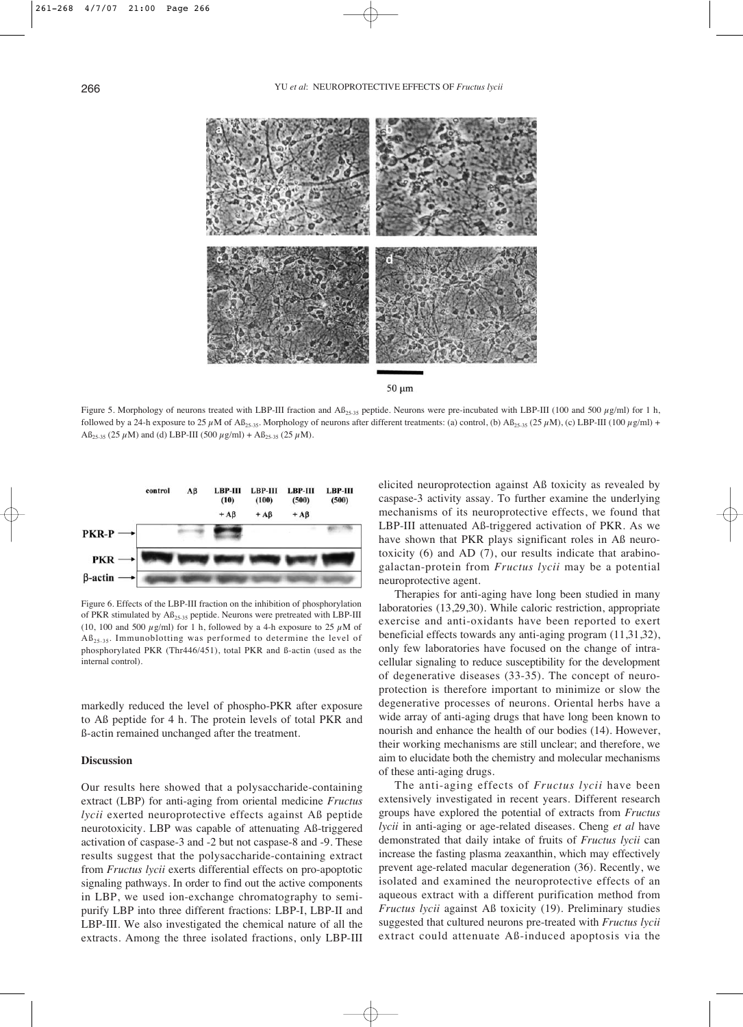

Figure 5. Morphology of neurons treated with LBP-III fraction and  $AB_{25-35}$  peptide. Neurons were pre-incubated with LBP-III (100 and 500  $\mu$ g/ml) for 1 h, followed by a 24-h exposure to 25  $\mu$ M of AB<sub>25-35</sub>. Morphology of neurons after different treatments: (a) control, (b) AB<sub>25-35</sub> (25  $\mu$ M), (c) LBP-III (100  $\mu$ g/ml) +  $\text{AB}_{25\text{-}35}$  (25  $\mu\text{M}$ ) and (d) LBP-III (500  $\mu\text{g/ml}) + \text{AB}_{25\text{-}35}$  (25  $\mu\text{M}$ ).



Figure 6. Effects of the LBP-III fraction on the inhibition of phosphorylation of PKR stimulated by AB<sub>25-35</sub> peptide. Neurons were pretreated with LBP-III (10, 100 and 500  $\mu$ g/ml) for 1 h, followed by a 4-h exposure to 25  $\mu$ M of Aß25-35. Immunoblotting was performed to determine the level of phosphorylated PKR (Thr446/451), total PKR and ß-actin (used as the internal control).

markedly reduced the level of phospho-PKR after exposure to Aß peptide for 4 h. The protein levels of total PKR and ß-actin remained unchanged after the treatment.

#### **Discussion**

Our results here showed that a polysaccharide-containing extract (LBP) for anti-aging from oriental medicine *Fructus lycii* exerted neuroprotective effects against Aß peptide neurotoxicity. LBP was capable of attenuating Aß-triggered activation of caspase-3 and -2 but not caspase-8 and -9. These results suggest that the polysaccharide-containing extract from *Fructus lycii* exerts differential effects on pro-apoptotic signaling pathways. In order to find out the active components in LBP, we used ion-exchange chromatography to semipurify LBP into three different fractions: LBP-I, LBP-II and LBP-III. We also investigated the chemical nature of all the extracts. Among the three isolated fractions, only LBP-III elicited neuroprotection against Aß toxicity as revealed by caspase-3 activity assay. To further examine the underlying mechanisms of its neuroprotective effects, we found that LBP-III attenuated Aß-triggered activation of PKR. As we have shown that PKR plays significant roles in Aß neurotoxicity (6) and AD (7), our results indicate that arabinogalactan-protein from *Fructus lycii* may be a potential neuroprotective agent.

Therapies for anti-aging have long been studied in many laboratories (13,29,30). While caloric restriction, appropriate exercise and anti-oxidants have been reported to exert beneficial effects towards any anti-aging program (11,31,32), only few laboratories have focused on the change of intracellular signaling to reduce susceptibility for the development of degenerative diseases (33-35). The concept of neuroprotection is therefore important to minimize or slow the degenerative processes of neurons. Oriental herbs have a wide array of anti-aging drugs that have long been known to nourish and enhance the health of our bodies (14). However, their working mechanisms are still unclear; and therefore, we aim to elucidate both the chemistry and molecular mechanisms of these anti-aging drugs.

The anti-aging effects of *Fructus lycii* have been extensively investigated in recent years. Different research groups have explored the potential of extracts from *Fructus lycii* in anti-aging or age-related diseases. Cheng *et al* have demonstrated that daily intake of fruits of *Fructus lycii* can increase the fasting plasma zeaxanthin, which may effectively prevent age-related macular degeneration (36). Recently, we isolated and examined the neuroprotective effects of an aqueous extract with a different purification method from *Fructus lycii* against Aß toxicity (19). Preliminary studies suggested that cultured neurons pre-treated with *Fructus lycii* extract could attenuate Aß-induced apoptosis via the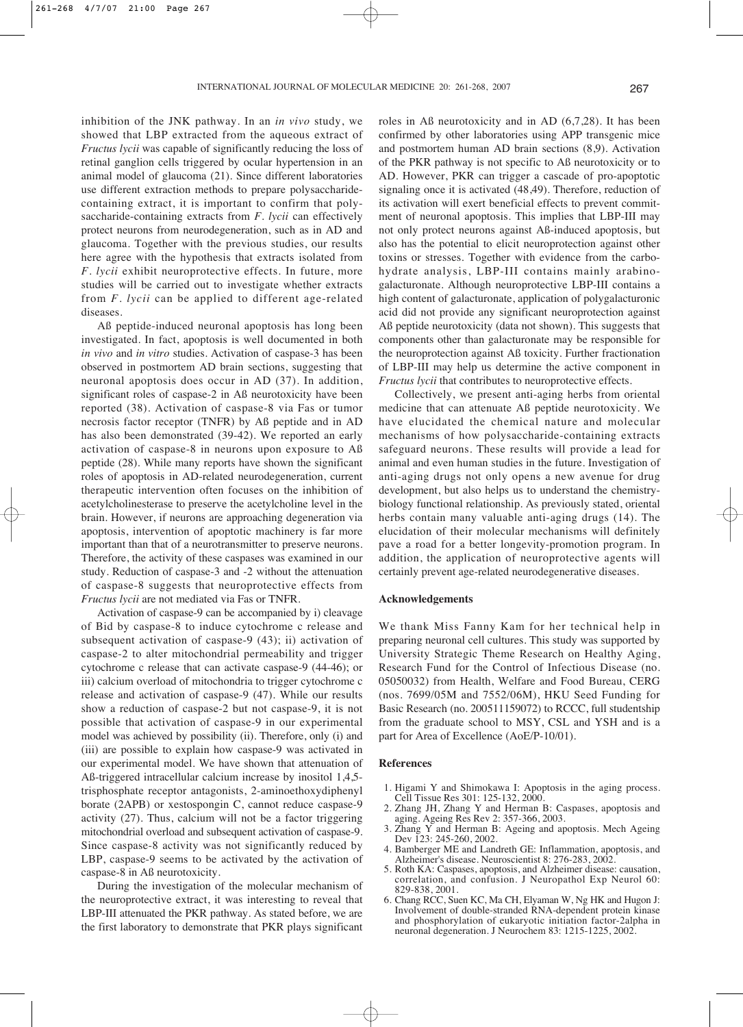inhibition of the JNK pathway. In an *in vivo* study, we showed that LBP extracted from the aqueous extract of *Fructus lycii* was capable of significantly reducing the loss of retinal ganglion cells triggered by ocular hypertension in an animal model of glaucoma (21). Since different laboratories use different extraction methods to prepare polysaccharidecontaining extract, it is important to confirm that polysaccharide-containing extracts from *F. lycii* can effectively protect neurons from neurodegeneration, such as in AD and glaucoma. Together with the previous studies, our results here agree with the hypothesis that extracts isolated from *F. lycii* exhibit neuroprotective effects. In future, more studies will be carried out to investigate whether extracts from *F. lycii* can be applied to different age-related diseases.

Aß peptide-induced neuronal apoptosis has long been investigated. In fact, apoptosis is well documented in both *in vivo* and *in vitro* studies. Activation of caspase-3 has been observed in postmortem AD brain sections, suggesting that neuronal apoptosis does occur in AD (37). In addition, significant roles of caspase-2 in Aß neurotoxicity have been reported (38). Activation of caspase-8 via Fas or tumor necrosis factor receptor (TNFR) by Aß peptide and in AD has also been demonstrated (39-42). We reported an early activation of caspase-8 in neurons upon exposure to Aß peptide (28). While many reports have shown the significant roles of apoptosis in AD-related neurodegeneration, current therapeutic intervention often focuses on the inhibition of acetylcholinesterase to preserve the acetylcholine level in the brain. However, if neurons are approaching degeneration via apoptosis, intervention of apoptotic machinery is far more important than that of a neurotransmitter to preserve neurons. Therefore, the activity of these caspases was examined in our study. Reduction of caspase-3 and -2 without the attenuation of caspase-8 suggests that neuroprotective effects from *Fructus lycii* are not mediated via Fas or TNFR.

Activation of caspase-9 can be accompanied by i) cleavage of Bid by caspase-8 to induce cytochrome c release and subsequent activation of caspase-9 (43); ii) activation of caspase-2 to alter mitochondrial permeability and trigger cytochrome c release that can activate caspase-9 (44-46); or iii) calcium overload of mitochondria to trigger cytochrome c release and activation of caspase-9 (47). While our results show a reduction of caspase-2 but not caspase-9, it is not possible that activation of caspase-9 in our experimental model was achieved by possibility (ii). Therefore, only (i) and (iii) are possible to explain how caspase-9 was activated in our experimental model. We have shown that attenuation of Aß-triggered intracellular calcium increase by inositol 1,4,5 trisphosphate receptor antagonists, 2-aminoethoxydiphenyl borate (2APB) or xestospongin C, cannot reduce caspase-9 activity (27). Thus, calcium will not be a factor triggering mitochondrial overload and subsequent activation of caspase-9. Since caspase-8 activity was not significantly reduced by LBP, caspase-9 seems to be activated by the activation of caspase-8 in Aß neurotoxicity.

During the investigation of the molecular mechanism of the neuroprotective extract, it was interesting to reveal that LBP-III attenuated the PKR pathway. As stated before, we are the first laboratory to demonstrate that PKR plays significant roles in Aß neurotoxicity and in AD (6,7,28). It has been confirmed by other laboratories using APP transgenic mice and postmortem human AD brain sections (8,9). Activation of the PKR pathway is not specific to Aß neurotoxicity or to AD. However, PKR can trigger a cascade of pro-apoptotic signaling once it is activated (48,49). Therefore, reduction of its activation will exert beneficial effects to prevent commitment of neuronal apoptosis. This implies that LBP-III may not only protect neurons against Aß-induced apoptosis, but also has the potential to elicit neuroprotection against other toxins or stresses. Together with evidence from the carbohydrate analysis, LBP-III contains mainly arabinogalacturonate. Although neuroprotective LBP-III contains a high content of galacturonate, application of polygalacturonic acid did not provide any significant neuroprotection against Aß peptide neurotoxicity (data not shown). This suggests that components other than galacturonate may be responsible for the neuroprotection against Aß toxicity. Further fractionation of LBP-III may help us determine the active component in *Fructus lycii* that contributes to neuroprotective effects.

Collectively, we present anti-aging herbs from oriental medicine that can attenuate Aß peptide neurotoxicity. We have elucidated the chemical nature and molecular mechanisms of how polysaccharide-containing extracts safeguard neurons. These results will provide a lead for animal and even human studies in the future. Investigation of anti-aging drugs not only opens a new avenue for drug development, but also helps us to understand the chemistrybiology functional relationship. As previously stated, oriental herbs contain many valuable anti-aging drugs (14). The elucidation of their molecular mechanisms will definitely pave a road for a better longevity-promotion program. In addition, the application of neuroprotective agents will certainly prevent age-related neurodegenerative diseases.

#### **Acknowledgements**

We thank Miss Fanny Kam for her technical help in preparing neuronal cell cultures. This study was supported by University Strategic Theme Research on Healthy Aging, Research Fund for the Control of Infectious Disease (no. 05050032) from Health, Welfare and Food Bureau, CERG (nos. 7699/05M and 7552/06M), HKU Seed Funding for Basic Research (no. 200511159072) to RCCC, full studentship from the graduate school to MSY, CSL and YSH and is a part for Area of Excellence (AoE/P-10/01).

#### **References**

- 1. Higami Y and Shimokawa I: Apoptosis in the aging process. Cell Tissue Res 301: 125-132, 2000.
- 2. Zhang JH, Zhang Y and Herman B: Caspases, apoptosis and aging. Ageing Res Rev 2: 357-366, 2003.
- 3. Zhang Y and Herman B: Ageing and apoptosis. Mech Ageing Dev 123: 245-260, 2002.
- 4. Bamberger ME and Landreth GE: Inflammation, apoptosis, and Alzheimer's disease. Neuroscientist 8: 276-283, 2002.
- 5. Roth KA: Caspases, apoptosis, and Alzheimer disease: causation, correlation, and confusion. J Neuropathol Exp Neurol 60: 829-838, 2001.
- 6. Chang RCC, Suen KC, Ma CH, Elyaman W, Ng HK and Hugon J: Involvement of double-stranded RNA-dependent protein kinase and phosphorylation of eukaryotic initiation factor-2alpha in neuronal degeneration. J Neurochem 83: 1215-1225, 2002.